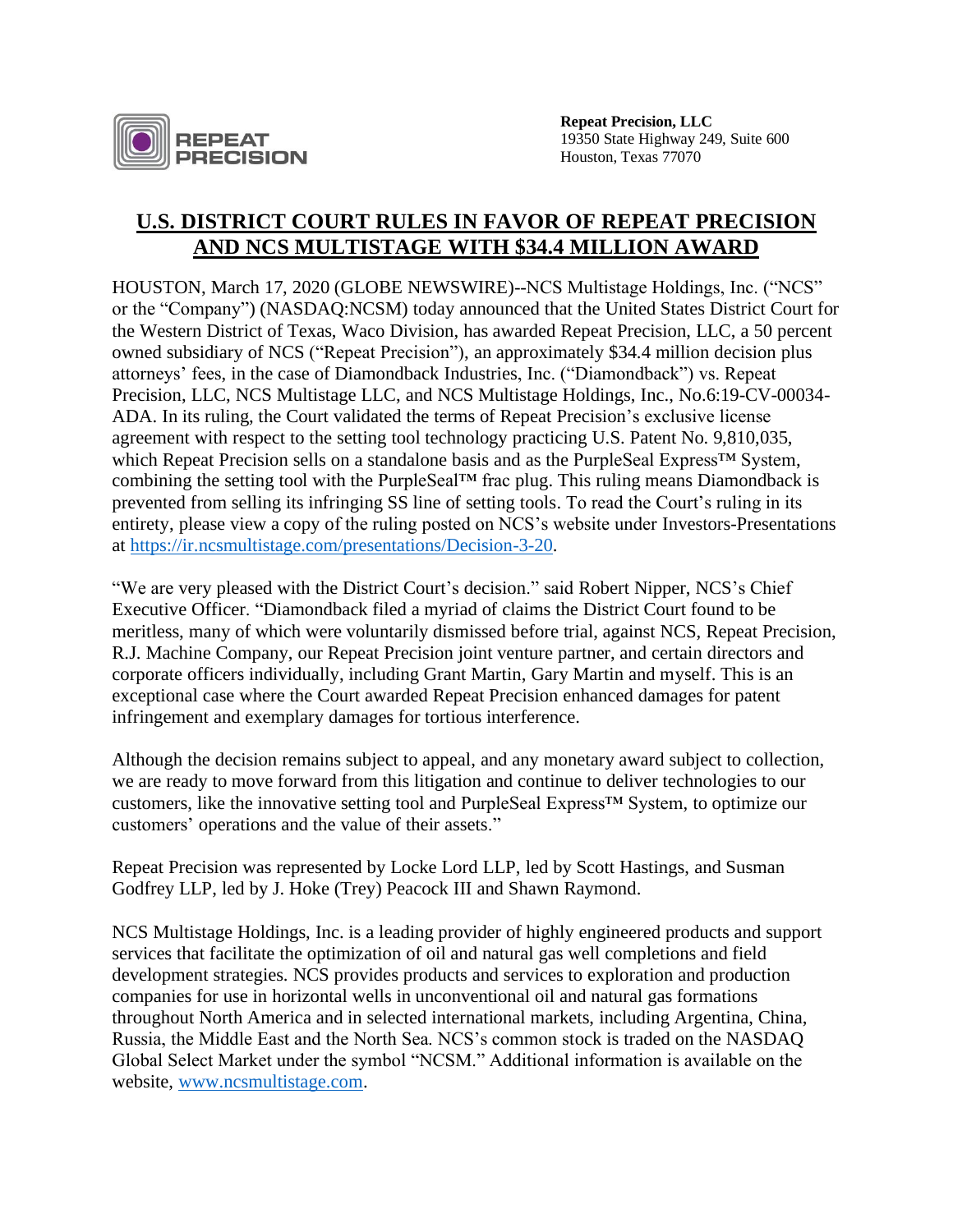

**Repeat Precision, LLC** 19350 State Highway 249, Suite 600 Houston, Texas 77070

## **U.S. DISTRICT COURT RULES IN FAVOR OF REPEAT PRECISION AND NCS MULTISTAGE WITH \$34.4 MILLION AWARD**

HOUSTON, March 17, 2020 (GLOBE NEWSWIRE)--NCS Multistage Holdings, Inc. ("NCS" or the "Company") (NASDAQ:NCSM) today announced that the United States District Court for the Western District of Texas, Waco Division, has awarded Repeat Precision, LLC, a 50 percent owned subsidiary of NCS ("Repeat Precision"), an approximately \$34.4 million decision plus attorneys' fees, in the case of Diamondback Industries, Inc. ("Diamondback") vs. Repeat Precision, LLC, NCS Multistage LLC, and NCS Multistage Holdings, Inc., No.6:19-CV-00034- ADA. In its ruling, the Court validated the terms of Repeat Precision's exclusive license agreement with respect to the setting tool technology practicing U.S. Patent No. 9,810,035, which Repeat Precision sells on a standalone basis and as the PurpleSeal Express™ System, combining the setting tool with the PurpleSeal™ frac plug. This ruling means Diamondback is prevented from selling its infringing SS line of setting tools. To read the Court's ruling in its entirety, please view a copy of the ruling posted on NCS's website under Investors-Presentations at [https://ir.ncsmultistage.com/presentations/Decision-3-20.](https://ir.ncsmultistage.com/presentations/Decision-3-20)

"We are very pleased with the District Court's decision." said Robert Nipper, NCS's Chief Executive Officer. "Diamondback filed a myriad of claims the District Court found to be meritless, many of which were voluntarily dismissed before trial, against NCS, Repeat Precision, R.J. Machine Company, our Repeat Precision joint venture partner, and certain directors and corporate officers individually, including Grant Martin, Gary Martin and myself. This is an exceptional case where the Court awarded Repeat Precision enhanced damages for patent infringement and exemplary damages for tortious interference.

Although the decision remains subject to appeal, and any monetary award subject to collection, we are ready to move forward from this litigation and continue to deliver technologies to our customers, like the innovative setting tool and PurpleSeal Express™ System, to optimize our customers' operations and the value of their assets."

Repeat Precision was represented by Locke Lord LLP, led by Scott Hastings, and Susman Godfrey LLP, led by J. Hoke (Trey) Peacock III and Shawn Raymond.

NCS Multistage Holdings, Inc. is a leading provider of highly engineered products and support services that facilitate the optimization of oil and natural gas well completions and field development strategies. NCS provides products and services to exploration and production companies for use in horizontal wells in unconventional oil and natural gas formations throughout North America and in selected international markets, including Argentina, China, Russia, the Middle East and the North Sea. NCS's common stock is traded on the NASDAQ Global Select Market under the symbol "NCSM." Additional information is available on the website, [www.ncsmultistage.com.](http://www.ncsmultistage.com/)